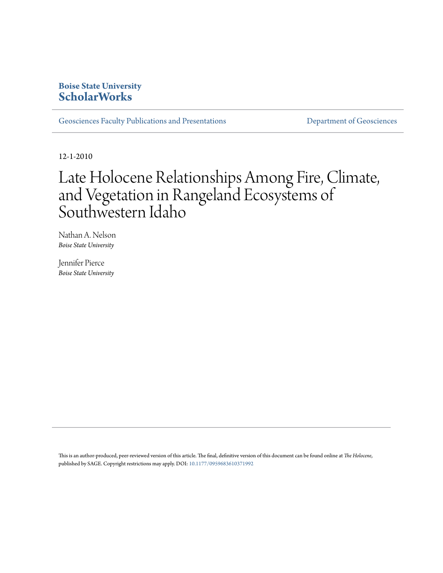# **Boise State University [ScholarWorks](https://scholarworks.boisestate.edu)**

[Geosciences Faculty Publications and Presentations](https://scholarworks.boisestate.edu/geo_facpubs) **Exercise Secure 2018** [Department of Geosciences](https://scholarworks.boisestate.edu/geosciences)

12-1-2010

# Late Holocene Relationships Among Fire, Climate, and Vegetation in Rangeland Ecosystems of Southwestern Idaho

Nathan A. Nelson *Boise State University*

Jennifer Pierce *Boise State University*

This is an author-produced, peer-reviewed version of this article. The final, definitive version of this document can be found online at *The Holocene*, published by SAGE. Copyright restrictions may apply. DOI: [10.1177/0959683610371992](http://dx.doi.org/10.1177/0959683610371992)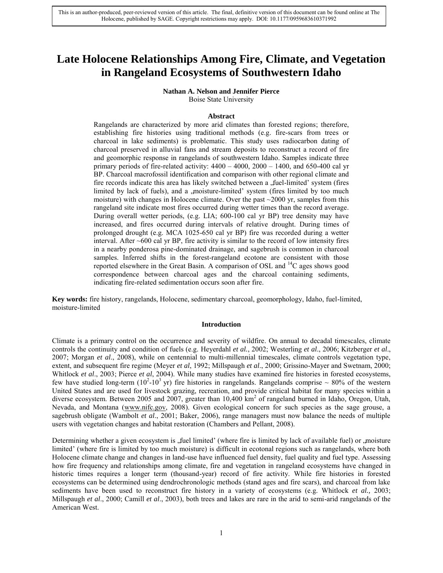# **Late Holocene Relationships Among Fire, Climate, and Vegetation in Rangeland Ecosystems of Southwestern Idaho**

**Nathan A. Nelson and Jennifer Pierce**

Boise State University

#### **Abstract**

Rangelands are characterized by more arid climates than forested regions; therefore, establishing fire histories using traditional methods (e.g. fire-scars from trees or charcoal in lake sediments) is problematic. This study uses radiocarbon dating of charcoal preserved in alluvial fans and stream deposits to reconstruct a record of fire and geomorphic response in rangelands of southwestern Idaho. Samples indicate three primary periods of fire-related activity:  $4400 - 4000$ ,  $2000 - 1400$ , and  $650-400$  cal yr BP. Charcoal macrofossil identification and comparison with other regional climate and fire records indicate this area has likely switched between a , fuel-limited' system (fires limited by lack of fuels), and a , moisture-limited' system (fires limited by too much moisture) with changes in Holocene climate. Over the past ~2000 yr, samples from this rangeland site indicate most fires occurred during wetter times than the record average. During overall wetter periods, (e.g. LIA; 600-100 cal yr BP) tree density may have increased, and fires occurred during intervals of relative drought. During times of prolonged drought (e.g. MCA 1025-650 cal yr BP) fire was recorded during a wetter interval. After  $\sim$  600 cal yr BP, fire activity is similar to the record of low intensity fires in a nearby ponderosa pine-dominated drainage, and sagebrush is common in charcoal samples. Inferred shifts in the forest-rangeland ecotone are consistent with those reported elsewhere in the Great Basin. A comparison of OSL and <sup>14</sup>C ages shows good correspondence between charcoal ages and the charcoal containing sediments, indicating fire-related sedimentation occurs soon after fire.

**Key words:** fire history, rangelands, Holocene, sedimentary charcoal, geomorphology, Idaho, fuel-limited, moisture-limited

#### **Introduction**

Climate is a primary control on the occurrence and severity of wildfire. On annual to decadal timescales, climate controls the continuity and condition of fuels (e.g. Heyerdahl *et al.*, 2002; Westerling *et al*., 2006; Kitzberger *et al*., 2007; Morgan *et al*., 2008), while on centennial to multi-millennial timescales, climate controls vegetation type, extent, and subsequent fire regime (Meyer *et al*, 1992; Millspaugh *et al*., 2000; Grissino-Mayer and Swetnam, 2000; Whitlock *et al.*, 2003; Pierce *et al.*, 2004). While many studies have examined fire histories in forested ecosystems, few have studied long-term ( $10^2$ - $10^3$  yr) fire histories in rangelands. Rangelands comprise ~ 80% of the western United States and are used for livestock grazing, recreation, and provide critical habitat for many species within a diverse ecosystem. Between 2005 and 2007, greater than  $10,400 \text{ km}^2$  of rangeland burned in Idaho, Oregon, Utah, Nevada, and Montana [\(www.nifc.gov,](http://www.nifc.gov/) 2008). Given ecological concern for such species as the sage grouse, a sagebrush obligate (Wambolt *et al*., 2001; Baker, 2006), range managers must now balance the needs of multiple users with vegetation changes and habitat restoration (Chambers and Pellant, 2008).

Determining whether a given ecosystem is , fuel limited' (where fire is limited by lack of available fuel) or .moisture limited' (where fire is limited by too much moisture) is difficult in ecotonal regions such as rangelands, where both Holocene climate change and changes in land-use have influenced fuel density, fuel quality and fuel type. Assessing how fire frequency and relationships among climate, fire and vegetation in rangeland ecosystems have changed in historic times requires a longer term (thousand-year) record of fire activity. While fire histories in forested ecosystems can be determined using dendrochronologic methods (stand ages and fire scars), and charcoal from lake sediments have been used to reconstruct fire history in a variety of ecosystems (e.g. Whitlock *et al.,* 2003; Millspaugh *et al*., 2000; Camill *et al*., 2003), both trees and lakes are rare in the arid to semi-arid rangelands of the American West.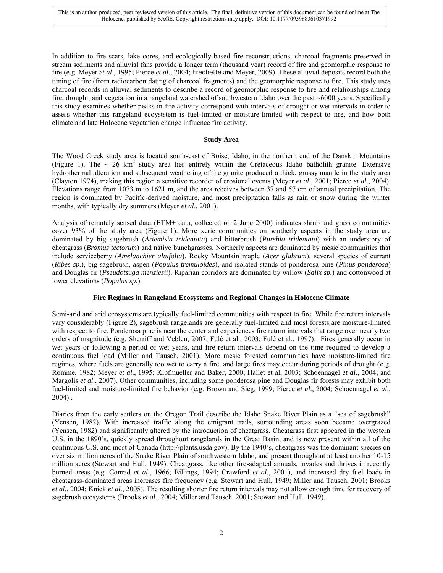In addition to fire scars, lake cores, and ecologically-based fire reconstructions, charcoal fragments preserved in stream sediments and alluvial fans provide a longer term (thousand year) record of fire and geomorphic response to fire (e.g. Meyer *et al*., 1995; Pierce *et al*., 2004; Frechette and Meyer, 2009). These alluvial deposits record both the timing of fire (from radiocarbon dating of charcoal fragments) and the geomorphic response to fire. This study uses charcoal records in alluvial sediments to describe a record of geomorphic response to fire and relationships among fire, drought, and vegetation in a rangeland watershed of southwestern Idaho over the past ~6000 years. Specifically this study examines whether peaks in fire activity correspond with intervals of drought or wet intervals in order to assess whether this rangeland ecoyststem is fuel-limited or moisture-limited with respect to fire, and how both climate and late Holocene vegetation change influence fire activity.

# **Study Area**

The Wood Creek study area is located south-east of Boise, Idaho, in the northern end of the Danskin Mountains (Figure 1). The  $\sim 26$  km<sup>2</sup> study area lies entirely within the Cretaceous Idaho batholith granite. Extensive hydrothermal alteration and subsequent weathering of the granite produced a thick, grussy mantle in the study area (Clayton 1974), making this region a sensitive recorder of erosional events (Meyer *et al*., 2001; Pierce *et al*., 2004). Elevations range from 1073 m to 1621 m, and the area receives between 37 and 57 cm of annual precipitation. The region is dominated by Pacific-derived moisture, and most precipitation falls as rain or snow during the winter months, with typically dry summers (Meyer *et al*., 2001).

Analysis of remotely sensed data (ETM+ data, collected on 2 June 2000) indicates shrub and grass communities cover 93% of the study area (Figure 1). More xeric communities on southerly aspects in the study area are dominated by big sagebrush (*Artemisia tridentata*) and bitterbrush (*Purshia tridentata*) with an understory of cheatgrass (*Bromus tectorum*) and native bunchgrasses. Northerly aspects are dominated by mesic communities that include serviceberry (*Amelanchier alnifolia*), Rocky Mountain maple (*Acer glabrum*), several species of currant (*Ribes sp.*), big sagebrush, aspen (*Populus tremuloides*), and isolated stands of ponderosa pine (*Pinus ponderosa*) and Douglas fir (*Pseudotsuga menziesii*). Riparian corridors are dominated by willow (*Salix sp.*) and cottonwood at lower elevations (*Populus sp.*).

# **Fire Regimes in Rangeland Ecosystems and Regional Changes in Holocene Climate**

Semi-arid and arid ecosystems are typically fuel-limited communities with respect to fire. While fire return intervals vary considerably (Figure 2), sagebrush rangelands are generally fuel-limited and most forests are moisture-limited with respect to fire. Ponderosa pine is near the center and experiences fire return intervals that range over nearly two orders of magnitude (e.g. Sherriff and Veblen, 2007; Fulé et al., 2003; Fulé et al., 1997). Fires generally occur in wet years or following a period of wet years, and fire return intervals depend on the time required to develop a continuous fuel load (Miller and Tausch, 2001). More mesic forested communities have moisture-limited fire regimes, where fuels are generally too wet to carry a fire, and large fires may occur during periods of drought (e.g. Romme, 1982; Meyer *et al*., 1995; Kipfmueller and Baker, 2000; Hallet et al, 2003; Schoennagel *et al*., 2004; and Margolis *et al*., 2007). Other communities, including some ponderosa pine and Douglas fir forests may exhibit both fuel-limited and moisture-limited fire behavior (e.g. Brown and Sieg, 1999; Pierce *et al*., 2004; Schoennagel *et al*., 2004)..

Diaries from the early settlers on the Oregon Trail describe the Idaho Snake River Plain as a "sea of sagebrush" (Yensen, 1982). With increased traffic along the emigrant trails, surrounding areas soon became overgrazed (Yensen, 1982) and significantly altered by the introduction of cheatgrass. Cheatgrass first appeared in the western U.S. in the 1890"s, quickly spread throughout rangelands in the Great Basin, and is now present within all of the continuous U.S. and most of Canada (http://plants.usda.gov). By the 1940"s, cheatgrass was the dominant species on over six million acres of the Snake River Plain of southwestern Idaho, and present throughout at least another 10-15 million acres (Stewart and Hull, 1949). Cheatgrass, like other fire-adapted annuals, invades and thrives in recently burned areas (e.g. Conrad *et al*., 1966; Billings, 1994; Crawford *et al*., 2001), and increased dry fuel loads in cheatgrass-dominated areas increases fire frequency (e.g. Stewart and Hull, 1949; Miller and Tausch, 2001; Brooks *et al*., 2004; Knick *et al*., 2005). The resulting shorter fire return intervals may not allow enough time for recovery of sagebrush ecosystems (Brooks *et al*., 2004; Miller and Tausch, 2001; Stewart and Hull, 1949).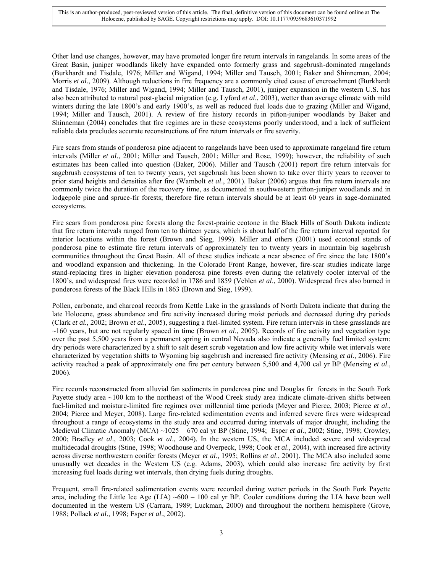Other land use changes, however, may have promoted longer fire return intervals in rangelands. In some areas of the Great Basin, juniper woodlands likely have expanded onto formerly grass and sagebrush-dominated rangelands (Burkhardt and Tisdale, 1976; Miller and Wigand, 1994; Miller and Tausch, 2001; Baker and Shinneman, 2004; Morris *et al*., 2009). Although reductions in fire frequency are a commonly cited cause of encroachment (Burkhardt and Tisdale, 1976; Miller and Wigand, 1994; Miller and Tausch, 2001), juniper expansion in the western U.S. has also been attributed to natural post-glacial migration (e.g. Lyford *et al*., 2003), wetter than average climate with mild winters during the late 1800's and early 1900's, as well as reduced fuel loads due to grazing (Miller and Wigand, 1994; Miller and Tausch, 2001). A review of fire history records in piñon-juniper woodlands by Baker and Shinneman (2004) concludes that fire regimes are in these ecosystems poorly understood, and a lack of sufficient reliable data precludes accurate reconstructions of fire return intervals or fire severity.

Fire scars from stands of ponderosa pine adjacent to rangelands have been used to approximate rangeland fire return intervals (Miller *et al*., 2001; Miller and Tausch, 2001; Miller and Rose, 1999); however, the reliability of such estimates has been called into question (Baker, 2006). Miller and Tausch (2001) report fire return intervals for sagebrush ecosystems of ten to twenty years, yet sagebrush has been shown to take over thirty years to recover to prior stand heights and densities after fire (Wambolt *et al*., 2001). Baker (2006) argues that fire return intervals are commonly twice the duration of the recovery time, as documented in southwestern piñon-juniper woodlands and in lodgepole pine and spruce-fir forests; therefore fire return intervals should be at least 60 years in sage-dominated ecosystems.

Fire scars from ponderosa pine forests along the forest-prairie ecotone in the Black Hills of South Dakota indicate that fire return intervals ranged from ten to thirteen years, which is about half of the fire return interval reported for interior locations within the forest (Brown and Sieg, 1999). Miller and others (2001) used ecotonal stands of ponderosa pine to estimate fire return intervals of approximately ten to twenty years in mountain big sagebrush communities throughout the Great Basin. All of these studies indicate a near absence of fire since the late 1800"s and woodland expansion and thickening. In the Colorado Front Range, however, fire-scar studies indicate large stand-replacing fires in higher elevation ponderosa pine forests even during the relatively cooler interval of the 1800"s, and widespread fires were recorded in 1786 and 1859 (Veblen *et al*., 2000). Widespread fires also burned in ponderosa forests of the Black Hills in 1863 (Brown and Sieg, 1999).

Pollen, carbonate, and charcoal records from Kettle Lake in the grasslands of North Dakota indicate that during the late Holocene, grass abundance and fire activity increased during moist periods and decreased during dry periods (Clark *et al.,* 2002; Brown *et al*., 2005), suggesting a fuel-limited system. Fire return intervals in these grasslands are ~160 years, but are not regularly spaced in time (Brown *et al*., 2005). Records of fire activity and vegetation type over the past 5,500 years from a permanent spring in central Nevada also indicate a generally fuel limited system: dry periods were characterized by a shift to salt desert scrub vegetation and low fire activity while wet intervals were characterized by vegetation shifts to Wyoming big sagebrush and increased fire activity (Mensing *et al*., 2006). Fire activity reached a peak of approximately one fire per century between 5,500 and 4,700 cal yr BP (Mensing *et al*., 2006).

Fire records reconstructed from alluvial fan sediments in ponderosa pine and Douglas fir forests in the South Fork Payette study area ~100 km to the northeast of the Wood Creek study area indicate climate-driven shifts between fuel-limited and moisture-limited fire regimes over millennial time periods (Meyer and Pierce, 2003; Pierce *et al*., 2004; Pierce and Meyer, 2008). Large fire-related sedimentation events and inferred severe fires were widespread throughout a range of ecosystems in the study area and occurred during intervals of major drought, including the Medieval Climatic Anomaly (MCA) ~1025 – 670 cal yr BP (Stine, 1994; Esper *et al*., 2002; Stine, 1998; Crowley, 2000; Bradley *et al*., 2003; Cook *et al*., 2004). In the western US, the MCA included severe and widespread multidecadal droughts (Stine, 1998; Woodhouse and Overpeck, 1998; Cook *et al*., 2004), with increased fire activity across diverse northwestern conifer forests (Meyer *et al*., 1995; Rollins *et al*., 2001). The MCA also included some unusually wet decades in the Western US (e.g. Adams, 2003), which could also increase fire activity by first increasing fuel loads during wet intervals, then drying fuels during droughts.

Frequent, small fire-related sedimentation events were recorded during wetter periods in the South Fork Payette area, including the Little Ice Age (LIA)  $\sim$  600 – 100 cal yr BP. Cooler conditions during the LIA have been well documented in the western US (Carrara, 1989; Luckman, 2000) and throughout the northern hemisphere (Grove, 1988; Pollack *et al*., 1998; Esper *et al*., 2002).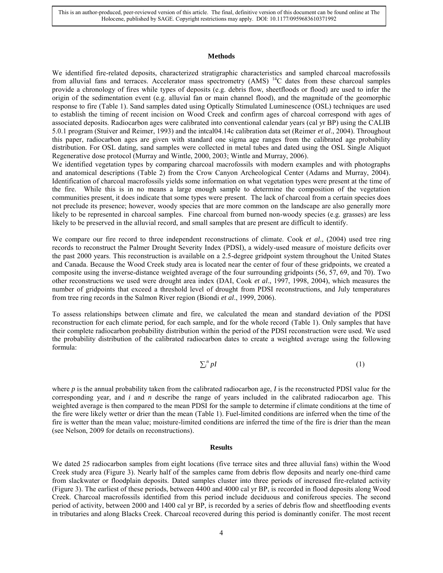#### **Methods**

We identified fire-related deposits, characterized stratigraphic characteristics and sampled charcoal macrofossils from alluvial fans and terraces. Accelerator mass spectrometry (AMS) <sup>14</sup>C dates from these charcoal samples provide a chronology of fires while types of deposits (e.g. debris flow, sheetfloods or flood) are used to infer the origin of the sedimentation event (e.g. alluvial fan or main channel flood), and the magnitude of the geomorphic response to fire (Table 1). Sand samples dated using Optically Stimulated Luminescence (OSL) techniques are used to establish the timing of recent incision on Wood Creek and confirm ages of charcoal correspond with ages of associated deposits. Radiocarbon ages were calibrated into conventional calendar years (cal yr BP) using the CALIB 5.0.1 program (Stuiver and Reimer, 1993) and the intcal04.14c calibration data set (Reimer *et al*., 2004). Throughout this paper, radiocarbon ages are given with standard one sigma age ranges from the calibrated age probability distribution. For OSL dating, sand samples were collected in metal tubes and dated using the OSL Single Aliquot Regenerative dose protocol (Murray and Wintle, 2000, 2003; Wintle and Murray, 2006).

We identified vegetation types by comparing charcoal macrofossils with modern examples and with photographs and anatomical descriptions (Table 2) from the Crow Canyon Archeological Center (Adams and Murray, 2004). Identification of charcoal macrofossils yields some information on what vegetation types were present at the time of the fire. While this is in no means a large enough sample to determine the composition of the vegetation communities present, it does indicate that some types were present. The lack of charcoal from a certain species does not preclude its presence; however, woody species that are more common on the landscape are also generally more likely to be represented in charcoal samples. Fine charcoal from burned non-woody species (e.g. grasses) are less likely to be preserved in the alluvial record, and small samples that are present are difficult to identify.

We compare our fire record to three independent reconstructions of climate. Cook *et al*., (2004) used tree ring records to reconstruct the Palmer Drought Severity Index (PDSI), a widely-used measure of moisture deficits over the past 2000 years. This reconstruction is available on a 2.5-degree gridpoint system throughout the United States and Canada. Because the Wood Creek study area is located near the center of four of these gridpoints, we created a composite using the inverse-distance weighted average of the four surrounding gridpoints (56, 57, 69, and 70). Two other reconstructions we used were drought area index (DAI, Cook *et al*., 1997, 1998, 2004), which measures the number of gridpoints that exceed a threshold level of drought from PDSI reconstructions, and July temperatures from tree ring records in the Salmon River region (Biondi *et al*., 1999, 2006).

To assess relationships between climate and fire, we calculated the mean and standard deviation of the PDSI reconstruction for each climate period, for each sample, and for the whole record (Table 1). Only samples that have their complete radiocarbon probability distribution within the period of the PDSI reconstruction were used. We used the probability distribution of the calibrated radiocarbon dates to create a weighted average using the following formula:

$$
\sum_{i}^{n} pI \tag{1}
$$

where *p* is the annual probability taken from the calibrated radiocarbon age, *I* is the reconstructed PDSI value for the corresponding year, and *i* and *n* describe the range of years included in the calibrated radiocarbon age. This weighted average is then compared to the mean PDSI for the sample to determine if climate conditions at the time of the fire were likely wetter or drier than the mean (Table 1). Fuel-limited conditions are inferred when the time of the fire is wetter than the mean value; moisture-limited conditions are inferred the time of the fire is drier than the mean (see Nelson, 2009 for details on reconstructions).

#### **Results**

We dated 25 radiocarbon samples from eight locations (five terrace sites and three alluvial fans) within the Wood Creek study area (Figure 3). Nearly half of the samples came from debris flow deposits and nearly one-third came from slackwater or floodplain deposits. Dated samples cluster into three periods of increased fire-related activity (Figure 3). The earliest of these periods, between 4400 and 4000 cal yr BP, is recorded in flood deposits along Wood Creek. Charcoal macrofossils identified from this period include deciduous and coniferous species. The second period of activity, between 2000 and 1400 cal yr BP, is recorded by a series of debris flow and sheetflooding events in tributaries and along Blacks Creek. Charcoal recovered during this period is dominantly conifer. The most recent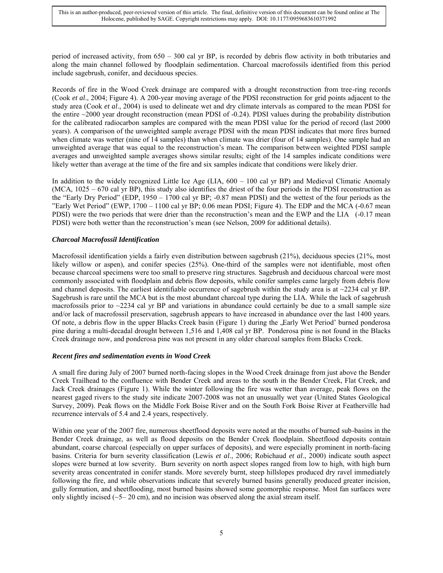period of increased activity, from 650 – 300 cal yr BP, is recorded by debris flow activity in both tributaries and along the main channel followed by floodplain sedimentation. Charcoal macrofossils identified from this period include sagebrush, conifer, and deciduous species.

Records of fire in the Wood Creek drainage are compared with a drought reconstruction from tree-ring records (Cook *et al*., 2004; Figure 4). A 200-year moving average of the PDSI reconstruction for grid points adjacent to the study area (Cook *et al*., 2004) is used to delineate wet and dry climate intervals as compared to the mean PDSI for the entire ~2000 year drought reconstruction (mean PDSI of -0.24). PDSI values during the probability distribution for the calibrated radiocarbon samples are compared with the mean PDSI value for the period of record (last 2000 years). A comparison of the unweighted sample average PDSI with the mean PDSI indicates that more fires burned when climate was wetter (nine of 14 samples) than when climate was drier (four of 14 samples). One sample had an unweighted average that was equal to the reconstruction"s mean. The comparison between weighted PDSI sample averages and unweighted sample averages shows similar results; eight of the 14 samples indicate conditions were likely wetter than average at the time of the fire and six samples indicate that conditions were likely drier.

In addition to the widely recognized Little Ice Age (LIA,  $600 - 100$  cal yr BP) and Medieval Climatic Anomaly (MCA, 1025 – 670 cal yr BP), this study also identifies the driest of the four periods in the PDSI reconstruction as the "Early Dry Period" (EDP, 1950 – 1700 cal yr BP; -0.87 mean PDSI) and the wettest of the four periods as the "Early Wet Period" (EWP,  $1700 - 1100$  cal yr BP; 0.06 mean PDSI; Figure 4). The EDP and the MCA (-0.67 mean PDSI) were the two periods that were drier than the reconstruction's mean and the EWP and the LIA (-0.17 mean PDSI) were both wetter than the reconstruction"s mean (see Nelson, 2009 for additional details).

# *Charcoal Macrofossil Identification*

Macrofossil identification yields a fairly even distribution between sagebrush (21%), deciduous species (21%, most likely willow or aspen), and conifer species (25%). One-third of the samples were not identifiable, most often because charcoal specimens were too small to preserve ring structures. Sagebrush and deciduous charcoal were most commonly associated with floodplain and debris flow deposits, while conifer samples came largely from debris flow and channel deposits. The earliest identifiable occurrence of sagebrush within the study area is at  $\sim$ 2234 cal yr BP. Sagebrush is rare until the MCA but is the most abundant charcoal type during the LIA. While the lack of sagebrush macrofossils prior to  $\sim$ 2234 cal yr BP and variations in abundance could certainly be due to a small sample size and/or lack of macrofossil preservation, sagebrush appears to have increased in abundance over the last 1400 years. Of note, a debris flow in the upper Blacks Creek basin (Figure 1) during the "Early Wet Period' burned ponderosa pine during a multi-decadal drought between 1,516 and 1,408 cal yr BP. Ponderosa pine is not found in the Blacks Creek drainage now, and ponderosa pine was not present in any older charcoal samples from Blacks Creek.

# *Recent fires and sedimentation events in Wood Creek*

A small fire during July of 2007 burned north-facing slopes in the Wood Creek drainage from just above the Bender Creek Trailhead to the confluence with Bender Creek and areas to the south in the Bender Creek, Flat Creek, and Jack Creek drainages (Figure 1). While the winter following the fire was wetter than average, peak flows on the nearest gaged rivers to the study site indicate 2007-2008 was not an unusually wet year (United States Geological Survey, 2009). Peak flows on the Middle Fork Boise River and on the South Fork Boise River at Featherville had recurrence intervals of 5.4 and 2.4 years, respectively.

Within one year of the 2007 fire, numerous sheetflood deposits were noted at the mouths of burned sub-basins in the Bender Creek drainage, as well as flood deposits on the Bender Creek floodplain. Sheetflood deposits contain abundant, coarse charcoal (especially on upper surfaces of deposits), and were especially prominent in north-facing basins. Criteria for burn severity classification (Lewis *et al*., 2006; Robichaud *et al*., 2000) indicate south aspect slopes were burned at low severity. Burn severity on north aspect slopes ranged from low to high, with high burn severity areas concentrated in conifer stands. More severely burnt, steep hillslopes produced dry ravel immediately following the fire, and while observations indicate that severely burned basins generally produced greater incision, gully formation, and sheetflooding, most burned basins showed some geomorphic response. Most fan surfaces were only slightly incised  $(-5-20 \text{ cm})$ , and no incision was observed along the axial stream itself.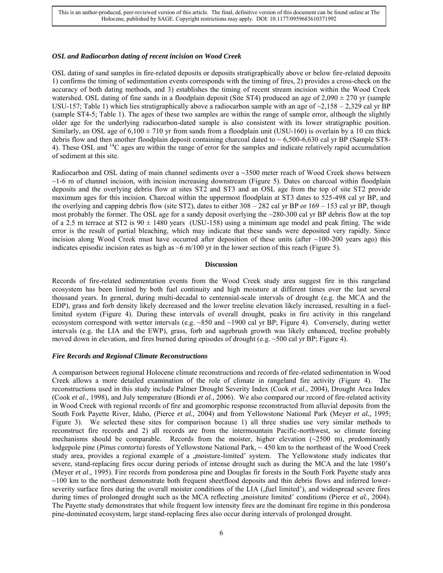### *OSL and Radiocarbon dating of recent incision on Wood Creek*

OSL dating of sand samples in fire-related deposits or deposits stratigraphically above or below fire-related deposits 1) confirms the timing of sedimentation events corresponds with the timing of fires, 2) provides a cross-check on the accuracy of both dating methods, and 3) establishes the timing of recent stream incision within the Wood Creek watershed. OSL dating of fine sands in a floodplain deposit (Site ST4) produced an age of  $2,090 \pm 270$  yr (sample USU-157; Table 1) which lies stratigraphically above a radiocarbon sample with an age of  $\sim$ 2,158 – 2,329 cal yr BP (sample ST4-5; Table 1). The ages of these two samples are within the range of sample error, although the slightly older age for the underlying radiocarbon-dated sample is also consistent with its lower stratigraphic position. Similarly, an OSL age of  $6,100 \pm 710$  yr from sands from a floodplain unit (USU-160) is overlain by a 10 cm thick debris flow and then another floodplain deposit containing charcoal dated to  $\sim 6,500$ -6,630 cal yr BP (Sample ST8-4). These OSL and <sup>14</sup>C ages are within the range of error for the samples and indicate relatively rapid accumulation of sediment at this site.

Radiocarbon and OSL dating of main channel sediments over a ~3500 meter reach of Wood Creek shows between  $\sim$ 1-6 m of channel incision, with incision increasing downstream (Figure 5). Dates on charcoal within floodplain deposits and the overlying debris flow at sites ST2 and ST3 and an OSL age from the top of site ST2 provide maximum ages for this incision. Charcoal within the uppermost floodplain at ST3 dates to 525-498 cal yr BP, and the overlying and capping debris flow (site ST2), dates to either 308 – 282 cal yr BP or 169 – 153 cal yr BP, though most probably the former. The OSL age for a sandy deposit overlying the ~280-300 cal yr BP debris flow at the top of a 2.5 m terrace at ST2 is  $90 \pm 1480$  years (USU-158) using a minimum age model and peak fitting. The wide error is the result of partial bleaching, which may indicate that these sands were deposited very rapidly. Since incision along Wood Creek must have occurred after deposition of these units (after  $\sim$ 100-200 years ago) this indicates episodic incision rates as high as ~6 m/100 yr in the lower section of this reach (Figure 5).

#### **Discussion**

Records of fire-related sedimentation events from the Wood Creek study area suggest fire in this rangeland ecosystem has been limited by both fuel continuity and high moisture at different times over the last several thousand years. In general, during multi-decadal to centennial-scale intervals of drought (e.g. the MCA and the EDP), grass and forb density likely decreased and the lower treeline elevation likely increased, resulting in a fuellimited system (Figure 4). During these intervals of overall drought, peaks in fire activity in this rangeland ecosystem correspond with wetter intervals (e.g.  $\sim 850$  and  $\sim 1900$  cal yr BP; Figure 4). Conversely, during wetter intervals (e.g. the LIA and the EWP), grass, forb and sagebrush growth was likely enhanced, treeline probably moved down in elevation, and fires burned during episodes of drought (e.g. ~500 cal yr BP; Figure 4).

## *Fire Records and Regional Climate Reconstructions*

A comparison between regional Holocene climate reconstructions and records of fire-related sedimentation in Wood Creek allows a more detailed examination of the role of climate in rangeland fire activity (Figure 4). The reconstructions used in this study include Palmer Drought Severity Index (Cook *et al*., 2004), Drought Area Index (Cook *et al*., 1998), and July temperature (Biondi *et al*., 2006). We also compared our record of fire-related activity in Wood Creek with regional records of fire and geomorphic response reconstructed from alluvial deposits from the South Fork Payette River, Idaho, (Pierce *et al.,* 2004) and from Yellowstone National Park (Meyer *et al.,* 1995; Figure 3). We selected these sites for comparison because 1) all three studies use very similar methods to reconstruct fire records and 2) all records are from the intermountain Pacific-northwest, so climate forcing mechanisms should be comparable. Records from the moister, higher elevation  $(\sim 2500 \text{ m})$ , predominantly lodgepole pine (*Pinus contorta*) forests of Yellowstone National Park, ~ 450 km to the northeast of the Wood Creek study area, provides a regional example of a , moisture-limited' system. The Yellowstone study indicates that severe, stand-replacing fires occur during periods of intense drought such as during the MCA and the late 1980"s (Meyer *et al*., 1995). Fire records from ponderosa pine and Douglas fir forests in the South Fork Payette study area  $\sim$ 100 km to the northeast demonstrate both frequent sheetflood deposits and thin debris flows and inferred lowerseverity surface fires during the overall moister conditions of the LIA (, fuel limited'), and widespread severe fires during times of prolonged drought such as the MCA reflecting , moisture limited' conditions (Pierce *et al.*, 2004). The Payette study demonstrates that while frequent low intensity fires are the dominant fire regime in this ponderosa pine-dominated ecosystem, large stand-replacing fires also occur during intervals of prolonged drought.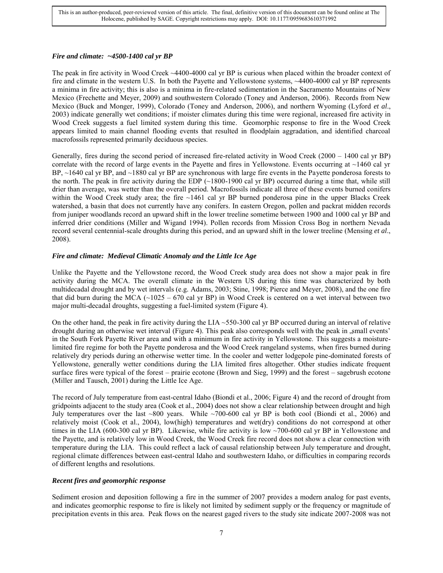# *Fire and climate: ~4500-1400 cal yr BP*

The peak in fire activity in Wood Creek ~4400-4000 cal yr BP is curious when placed within the broader context of fire and climate in the western U.S. In both the Payette and Yellowstone systems, ~4400-4000 cal yr BP represents a minima in fire activity; this is also is a minima in fire-related sedimentation in the Sacramento Mountains of New Mexico (Frechette and Meyer, 2009) and southwestern Colorado (Toney and Anderson, 2006). Records from New Mexico (Buck and Monger, 1999), Colorado (Toney and Anderson, 2006), and northern Wyoming (Lyford *et al*., 2003) indicate generally wet conditions; if moister climates during this time were regional, increased fire activity in Wood Creek suggests a fuel limited system during this time. Geomorphic response to fire in the Wood Creek appears limited to main channel flooding events that resulted in floodplain aggradation, and identified charcoal macrofossils represented primarily deciduous species.

Generally, fires during the second period of increased fire-related activity in Wood Creek (2000 – 1400 cal yr BP) correlate with the record of large events in the Payette and fires in Yellowstone. Events occurring at  $\sim$ 1460 cal yr BP, ~1640 cal yr BP, and ~1880 cal yr BP are synchronous with large fire events in the Payette ponderosa forests to the north. The peak in fire activity during the EDP  $(\sim 1800-1900 \text{ cal yr BP})$  occurred during a time that, while still drier than average, was wetter than the overall period. Macrofossils indicate all three of these events burned conifers within the Wood Creek study area; the fire  $\sim$ 1461 cal yr BP burned ponderosa pine in the upper Blacks Creek watershed, a basin that does not currently have any conifers. In eastern Oregon, pollen and packrat midden records from juniper woodlands record an upward shift in the lower treeline sometime between 1900 and 1000 cal yr BP and inferred drier conditions (Miller and Wigand 1994). Pollen records from Mission Cross Bog in northern Nevada record several centennial-scale droughts during this period, and an upward shift in the lower treeline (Mensing *et al*., 2008).

# *Fire and climate: Medieval Climatic Anomaly and the Little Ice Age*

Unlike the Payette and the Yellowstone record, the Wood Creek study area does not show a major peak in fire activity during the MCA. The overall climate in the Western US during this time was characterized by both multidecadal drought and by wet intervals (e.g. Adams, 2003; Stine, 1998; Pierce and Meyer, 2008), and the one fire that did burn during the MCA  $(\sim 1025 - 670 \text{ cal yr BP})$  in Wood Creek is centered on a wet interval between two major multi-decadal droughts, suggesting a fuel-limited system (Figure 4).

On the other hand, the peak in fire activity during the LIA  $\sim$  550-300 cal yr BP occurred during an interval of relative drought during an otherwise wet interval (Figure 4). This peak also corresponds well with the peak in , small events' in the South Fork Payette River area and with a minimum in fire activity in Yellowstone. This suggests a moisturelimited fire regime for both the Payette ponderosa and the Wood Creek rangeland systems, when fires burned during relatively dry periods during an otherwise wetter time. In the cooler and wetter lodgepole pine-dominated forests of Yellowstone, generally wetter conditions during the LIA limited fires altogether. Other studies indicate frequent surface fires were typical of the forest – prairie ecotone (Brown and Sieg, 1999) and the forest – sagebrush ecotone (Miller and Tausch, 2001) during the Little Ice Age.

The record of July temperature from east-central Idaho (Biondi et al., 2006; Figure 4) and the record of drought from gridpoints adjacent to the study area (Cook et al., 2004) does not show a clear relationship between drought and high July temperatures over the last ~800 years. While  $\sim$ 700-600 cal yr BP is both cool (Biondi et al., 2006) and relatively moist (Cook et al., 2004), low(high) temperatures and wet(dry) conditions do not correspond at other times in the LIA (600-300 cal yr BP). Likewise, while fire activity is low  $\sim$ 700-600 cal yr BP in Yellowstone and the Payette, and is relatively low in Wood Creek, the Wood Creek fire record does not show a clear connection with temperature during the LIA. This could reflect a lack of causal relationship between July temperature and drought, regional climate differences between east-central Idaho and southwestern Idaho, or difficulties in comparing records of different lengths and resolutions.

# *Recent fires and geomorphic response*

Sediment erosion and deposition following a fire in the summer of 2007 provides a modern analog for past events, and indicates geomorphic response to fire is likely not limited by sediment supply or the frequency or magnitude of precipitation events in this area. Peak flows on the nearest gaged rivers to the study site indicate 2007-2008 was not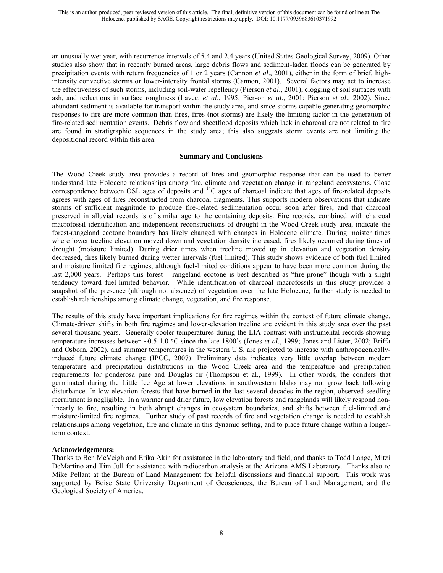an unusually wet year, with recurrence intervals of 5.4 and 2.4 years (United States Geological Survey, 2009). Other studies also show that in recently burned areas, large debris flows and sediment-laden floods can be generated by precipitation events with return frequencies of 1 or 2 years (Cannon *et al*., 2001), either in the form of brief, highintensity convective storms or lower-intensity frontal storms (Cannon, 2001). Several factors may act to increase the effectiveness of such storms, including soil-water repellency (Pierson *et al*., 2001), clogging of soil surfaces with ash, and reductions in surface roughness (Lavee, *et al*., 1995; Pierson *et al*., 2001; Pierson *et al*., 2002). Since abundant sediment is available for transport within the study area, and since storms capable generating geomorphic responses to fire are more common than fires, fires (not storms) are likely the limiting factor in the generation of fire-related sedimentation events. Debris flow and sheetflood deposits which lack in charcoal are not related to fire are found in stratigraphic sequences in the study area; this also suggests storm events are not limiting the depositional record within this area.

#### **Summary and Conclusions**

The Wood Creek study area provides a record of fires and geomorphic response that can be used to better understand late Holocene relationships among fire, climate and vegetation change in rangeland ecosystems. Close correspondence between OSL ages of deposits and <sup>14</sup>C ages of charcoal indicate that ages of fire-related deposits agrees with ages of fires reconstructed from charcoal fragments. This supports modern observations that indicate storms of sufficient magnitude to produce fire-related sedimentation occur soon after fires, and that charcoal preserved in alluvial records is of similar age to the containing deposits. Fire records, combined with charcoal macrofossil identification and independent reconstructions of drought in the Wood Creek study area, indicate the forest-rangeland ecotone boundary has likely changed with changes in Holocene climate. During moister times where lower treeline elevation moved down and vegetation density increased, fires likely occurred during times of drought (moisture limited). During drier times when treeline moved up in elevation and vegetation density decreased, fires likely burned during wetter intervals (fuel limited). This study shows evidence of both fuel limited and moisture limited fire regimes, although fuel-limited conditions appear to have been more common during the last 2,000 years. Perhaps this forest – rangeland ecotone is best described as "fire-prone" though with a slight tendency toward fuel-limited behavior. While identification of charcoal macrofossils in this study provides a snapshot of the presence (although not absence) of vegetation over the late Holocene, further study is needed to establish relationships among climate change, vegetation, and fire response.

The results of this study have important implications for fire regimes within the context of future climate change. Climate-driven shifts in both fire regimes and lower-elevation treeline are evident in this study area over the past several thousand years. Generally cooler temperatures during the LIA contrast with instrumental records showing temperature increases between ~0.5-1.0 °C since the late 1800's (Jones *et al.*, 1999; Jones and Lister, 2002; Briffa and Osborn, 2002), and summer temperatures in the western U.S. are projected to increase with anthropogenicallyinduced future climate change (IPCC, 2007). Preliminary data indicates very little overlap between modern temperature and precipitation distributions in the Wood Creek area and the temperature and precipitation requirements for ponderosa pine and Douglas fir (Thompson et al., 1999). In other words, the conifers that germinated during the Little Ice Age at lower elevations in southwestern Idaho may not grow back following disturbance. In low elevation forests that have burned in the last several decades in the region, observed seedling recruitment is negligible. In a warmer and drier future, low elevation forests and rangelands will likely respond nonlinearly to fire, resulting in both abrupt changes in ecosystem boundaries, and shifts between fuel-limited and moisture-limited fire regimes. Further study of past records of fire and vegetation change is needed to establish relationships among vegetation, fire and climate in this dynamic setting, and to place future change within a longerterm context.

## **Acknowledgements:**

Thanks to Ben McVeigh and Erika Akin for assistance in the laboratory and field, and thanks to Todd Lange, Mitzi DeMartino and Tim Jull for assistance with radiocarbon analysis at the Arizona AMS Laboratory. Thanks also to Mike Pellant at the Bureau of Land Management for helpful discussions and financial support. This work was supported by Boise State University Department of Geosciences, the Bureau of Land Management, and the Geological Society of America.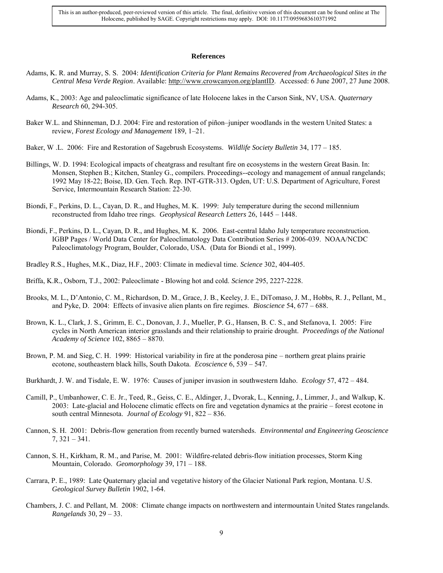#### **References**

- Adams, K. R. and Murray, S. S. 2004: *Identification Criteria for Plant Remains Recovered from Archaeological Sites in the Central Mesa Verde Region*. Available: [http://www.crowcanyon.org/plantID.](http://www.crowcanyon.org/plantID) Accessed: 6 June 2007, 27 June 2008.
- Adams, K., 2003: Age and paleoclimatic significance of late Holocene lakes in the Carson Sink, NV, USA. *Quaternary Research* 60, 294-305.
- Baker W.L. and Shinneman, D.J. 2004: Fire and restoration of piñon–juniper woodlands in the western United States: a review, *Forest Ecology and Management* 189, 1–21.
- Baker, W .L. 2006: Fire and Restoration of Sagebrush Ecosystems. *Wildlife Society Bulletin* 34, 177 185.
- Billings, W. D. 1994: Ecological impacts of cheatgrass and resultant fire on ecosystems in the western Great Basin. In: Monsen, Stephen B.; Kitchen, Stanley G., compilers. Proceedings--ecology and management of annual rangelands; 1992 May 18-22; Boise, ID. Gen. Tech. Rep. INT-GTR-313. Ogden, UT: U.S. Department of Agriculture, Forest Service, Intermountain Research Station: 22-30.
- Biondi, F., Perkins, D. L., Cayan, D. R., and Hughes, M. K. 1999: July temperature during the second millennium reconstructed from Idaho tree rings. *Geophysical Research Letters* 26, 1445 – 1448.
- Biondi, F., Perkins, D. L., Cayan, D. R., and Hughes, M. K. 2006. East-central Idaho July temperature reconstruction. IGBP Pages / World Data Center for Paleoclimatology Data Contribution Series # 2006-039. NOAA/NCDC Paleoclimatology Program, Boulder, Colorado, USA. (Data for Biondi et al., 1999).
- Bradley R.S., Hughes, M.K., Diaz, H.F., 2003: Climate in medieval time. *Science* 302, 404-405.
- Briffa, K.R., Osborn, T.J., 2002: Paleoclimate Blowing hot and cold. *Science* 295, 2227-2228.
- Brooks, M. L., D"Antonio, C. M., Richardson, D. M., Grace, J. B., Keeley, J. E., DiTomaso, J. M., Hobbs, R. J., Pellant, M., and Pyke, D. 2004: Effects of invasive alien plants on fire regimes. *Bioscience* 54, 677 – 688.
- Brown, K. L., Clark, J. S., Grimm, E. C., Donovan, J. J., Mueller, P. G., Hansen, B. C. S., and Stefanova, I. 2005: Fire cycles in North American interior grasslands and their relationship to prairie drought. *Proceedings of the National Academy of Science* 102, 8865 – 8870.
- Brown, P. M. and Sieg, C. H. 1999: Historical variability in fire at the ponderosa pine northern great plains prairie ecotone, southeastern black hills, South Dakota. *Ecoscience* 6, 539 – 547.
- Burkhardt, J. W. and Tisdale, E. W. 1976: Causes of juniper invasion in southwestern Idaho. *Ecology* 57, 472 484.
- Camill, P., Umbanhower, C. E. Jr., Teed, R., Geiss, C. E., Aldinger, J., Dvorak, L., Kenning, J., Limmer, J., and Walkup, K. 2003: Late-glacial and Holocene climatic effects on fire and vegetation dynamics at the prairie – forest ecotone in south central Minnesota. *Journal of Ecology* 91, 822 – 836.
- Cannon, S. H. 2001: Debris-flow generation from recently burned watersheds. *Environmental and Engineering Geoscience*  7, 321 – 341.
- Cannon, S. H., Kirkham, R. M., and Parise, M. 2001: Wildfire-related debris-flow initiation processes, Storm King Mountain, Colorado. *Geomorphology* 39, 171 – 188.
- Carrara, P. E., 1989: Late Quaternary glacial and vegetative history of the Glacier National Park region, Montana. U.S. *Geological Survey Bulletin* 1902, 1-64.
- Chambers, J. C. and Pellant, M. 2008: Climate change impacts on northwestern and intermountain United States rangelands. *Rangelands* 30, 29 – 33.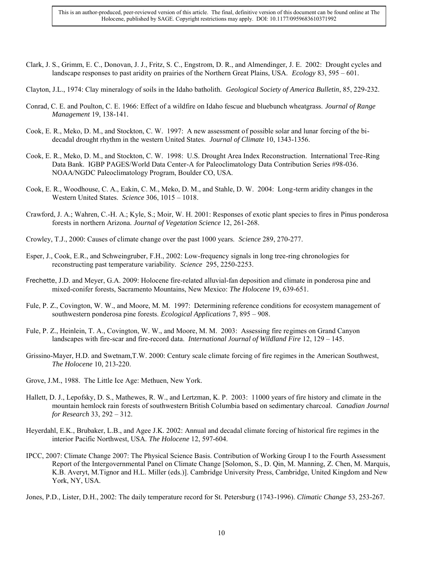- Clark, J. S., Grimm, E. C., Donovan, J. J., Fritz, S. C., Engstrom, D. R., and Almendinger, J. E. 2002: Drought cycles and landscape responses to past aridity on prairies of the Northern Great Plains, USA. *Ecology* 83, 595 – 601.
- Clayton, J.L., 1974: Clay mineralogy of soils in the Idaho batholith. *Geological Society of America Bulletin*, 85, 229-232.
- Conrad, C. E. and Poulton, C. E. 1966: Effect of a wildfire on Idaho fescue and bluebunch wheatgrass. *Journal of Range Management* 19, 138-141.
- Cook, E. R., Meko, D. M., and Stockton, C. W. 1997: A new assessment of possible solar and lunar forcing of the bidecadal drought rhythm in the western United States. *Journal of Climate* 10, 1343-1356.
- Cook, E. R., Meko, D. M., and Stockton, C. W. 1998: U.S. Drought Area Index Reconstruction. International Tree-Ring Data Bank. IGBP PAGES/World Data Center-A for Paleoclimatology Data Contribution Series #98-036. NOAA/NGDC Paleoclimatology Program, Boulder CO, USA.
- Cook, E. R., Woodhouse, C. A., Eakin, C. M., Meko, D. M., and Stahle, D. W. 2004: Long-term aridity changes in the Western United States. *Science* 306, 1015 – 1018.
- Crawford, J. A.; Wahren, C.-H. A.; Kyle, S.; Moir, W. H. 2001: Responses of exotic plant species to fires in Pinus ponderosa forests in northern Arizona. *Journal of Vegetation Science* 12, 261-268.
- Crowley, T.J., 2000: Causes of climate change over the past 1000 years. *Science* 289, 270-277.
- Esper, J., Cook, E.R., and Schweingruber, F.H., 2002: Low-frequency signals in long tree-ring chronologies for reconstructing past temperature variability. *Science* 295, 2250-2253.
- Frechette, J.D. and Meyer, G.A. 2009: Holocene fire-related alluvial-fan deposition and climate in ponderosa pine and mixed-conifer forests, Sacramento Mountains, New Mexico: *The Holocene* 19, 639-651.
- Fule, P. Z., Covington, W. W., and Moore, M. M. 1997: Determining reference conditions for ecosystem management of southwestern ponderosa pine forests. *Ecological Applications* 7, 895 – 908.
- Fule, P. Z., Heinlein, T. A., Covington, W. W., and Moore, M. M. 2003: Assessing fire regimes on Grand Canyon landscapes with fire-scar and fire-record data. *International Journal of Wildland Fire* 12, 129 – 145.
- Grissino-Mayer, H.D. and Swetnam,T.W. 2000: Century scale climate forcing of fire regimes in the American Southwest, *The Holocene* 10, 213-220.
- Grove, J.M., 1988. The Little Ice Age: Methuen, New York.
- Hallett, D. J., Lepofsky, D. S., Mathewes, R. W., and Lertzman, K. P. 2003: 11000 years of fire history and climate in the mountain hemlock rain forests of southwestern British Columbia based on sedimentary charcoal. *Canadian Journal for Research* 33, 292 – 312.
- Heyerdahl, E.K., Brubaker, L.B., and Agee J.K. 2002: Annual and decadal climate forcing of historical fire regimes in the interior Pacific Northwest, USA. *The Holocene* 12, 597-604.
- IPCC, 2007: Climate Change 2007: The Physical Science Basis. Contribution of Working Group I to the Fourth Assessment Report of the Intergovernmental Panel on Climate Change [Solomon, S., D. Qin, M. Manning, Z. Chen, M. Marquis, K.B. Averyt, M.Tignor and H.L. Miller (eds.)]. Cambridge University Press, Cambridge, United Kingdom and New York, NY, USA.

Jones, P.D., Lister, D.H., 2002: The daily temperature record for St. Petersburg (1743-1996). *Climatic Change* 53, 253-267.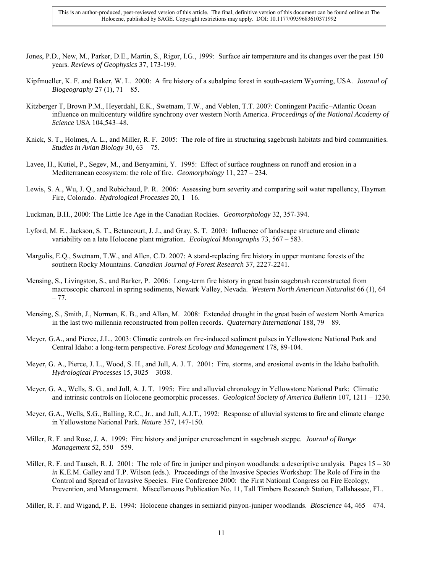- Jones, P.D., New, M., Parker, D.E., Martin, S., Rigor, I.G., 1999: Surface air temperature and its changes over the past 150 years. *Reviews of Geophysics* 37, 173-199.
- Kipfmueller, K. F. and Baker, W. L. 2000: A fire history of a subalpine forest in south-eastern Wyoming, USA. *Journal of Biogeography* 27 (1), 71 – 85.
- Kitzberger T, Brown P.M., Heyerdahl, E.K., Swetnam, T.W., and Veblen, T.T. 2007: Contingent Pacific–Atlantic Ocean influence on multicentury wildfire synchrony over western North America. *Proceedings of the National Academy of Science* USA 104,543–48.
- Knick, S. T., Holmes, A. L., and Miller, R. F. 2005: The role of fire in structuring sagebrush habitats and bird communities. *Studies in Avian Biology* 30, 63 – 75.
- Lavee, H., Kutiel, P., Segev, M., and Benyamini, Y. 1995: Effect of surface roughness on runoff and erosion in a Mediterranean ecosystem: the role of fire. *Geomorphology* 11, 227 – 234.
- Lewis, S. A., Wu, J. Q., and Robichaud, P. R. 2006: Assessing burn severity and comparing soil water repellency, Hayman Fire, Colorado. *Hydrological Processes* 20, 1– 16.
- Luckman, B.H., 2000: The Little Ice Age in the Canadian Rockies. *Geomorphology* 32, 357-394.
- Lyford, M. E., Jackson, S. T., Betancourt, J. J., and Gray, S. T. 2003: Influence of landscape structure and climate variability on a late Holocene plant migration. *Ecological Monographs* 73, 567 – 583.
- Margolis, E.Q., Swetnam, T.W., and Allen, C.D. 2007: A stand-replacing fire history in upper montane forests of the southern Rocky Mountains. *Canadian Journal of Forest Research* 37, 2227-2241.
- Mensing, S., Livingston, S., and Barker, P. 2006: Long-term fire history in great basin sagebrush reconstructed from macroscopic charcoal in spring sediments, Newark Valley, Nevada. *Western North American Naturalist* 66 (1), 64 – 77.
- Mensing, S., Smith, J., Norman, K. B., and Allan, M. 2008: Extended drought in the great basin of western North America in the last two millennia reconstructed from pollen records. *Quaternary International* 188, 79 – 89.
- Meyer, G.A., and Pierce, J.L., 2003: Climatic controls on fire-induced sediment pulses in Yellowstone National Park and Central Idaho: a long-term perspective. *Forest Ecology and Management* 178, 89-104.
- Meyer, G. A., Pierce, J. L., Wood, S. H., and Jull, A. J. T. 2001: Fire, storms, and erosional events in the Idaho batholith. *Hydrological Processes* 15, 3025 – 3038.
- Meyer, G. A., Wells, S. G., and Jull, A. J. T. 1995: Fire and alluvial chronology in Yellowstone National Park: Climatic and intrinsic controls on Holocene geomorphic processes. *Geological Society of America Bulletin* 107, 1211 – 1230.
- Meyer, G.A., Wells, S.G., Balling, R.C., Jr., and Jull, A.J.T., 1992: Response of alluvial systems to fire and climate change in Yellowstone National Park. *Nature* 357, 147-150.
- Miller, R. F. and Rose, J. A. 1999: Fire history and juniper encroachment in sagebrush steppe. *Journal of Range Management* 52, 550 – 559.
- Miller, R. F. and Tausch, R. J. 2001: The role of fire in juniper and pinyon woodlands: a descriptive analysis. Pages  $15 30$ *in* K.E.M. Galley and T.P. Wilson (eds.). Proceedings of the Invasive Species Workshop: The Role of Fire in the Control and Spread of Invasive Species. Fire Conference 2000: the First National Congress on Fire Ecology, Prevention, and Management. Miscellaneous Publication No. 11, Tall Timbers Research Station, Tallahassee, FL.

Miller, R. F. and Wigand, P. E. 1994: Holocene changes in semiarid pinyon-juniper woodlands. *Bioscience* 44, 465 – 474.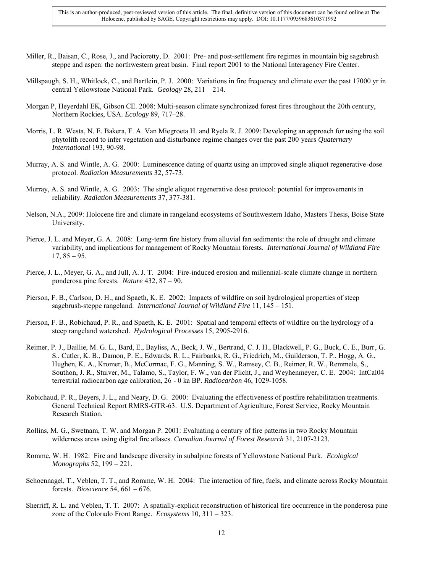- Miller, R., Baisan, C., Rose, J., and Pacioretty, D. 2001: Pre- and post-settlement fire regimes in mountain big sagebrush steppe and aspen: the northwestern great basin. Final report 2001 to the National Interagency Fire Center.
- Millspaugh, S. H., Whitlock, C., and Bartlein, P. J. 2000: Variations in fire frequency and climate over the past 17000 yr in central Yellowstone National Park. *Geology* 28, 211 – 214.
- Morgan P, Heyerdahl EK, Gibson CE. 2008: Multi-season climate synchronized forest fires throughout the 20th century, Northern Rockies, USA. *Ecology* 89, 717–28.
- Morris, L. R. Westa, N. E. Bakera, F. A. Van Miegroeta H. and Ryela R. J. 2009: Developing an approach for using the soil phytolith record to infer vegetation and disturbance regime changes over the past 200 years *Quaternary International* 193, 90-98.
- Murray, A. S. and Wintle, A. G. 2000: Luminescence dating of quartz using an improved single aliquot regenerative-dose protocol. *Radiation Measurements* 32, 57-73.
- Murray, A. S. and Wintle, A. G. 2003: The single aliquot regenerative dose protocol: potential for improvements in reliability. *Radiation Measurements* 37, 377-381.
- Nelson, N.A., 2009: Holocene fire and climate in rangeland ecosystems of Southwestern Idaho, Masters Thesis, Boise State University.
- Pierce, J. L. and Meyer, G. A. 2008: Long-term fire history from alluvial fan sediments: the role of drought and climate variability, and implications for management of Rocky Mountain forests. *International Journal of Wildland Fire*  $17, 85 - 95.$
- Pierce, J. L., Meyer, G. A., and Jull, A. J. T. 2004: Fire-induced erosion and millennial-scale climate change in northern ponderosa pine forests. *Nature* 432, 87 – 90.
- Pierson, F. B., Carlson, D. H., and Spaeth, K. E. 2002: Impacts of wildfire on soil hydrological properties of steep sagebrush-steppe rangeland. *International Journal of Wildland Fire* 11, 145 – 151.
- Pierson, F. B., Robichaud, P. R., and Spaeth, K. E. 2001: Spatial and temporal effects of wildfire on the hydrology of a steep rangeland watershed. *Hydrological Processes* 15, 2905-2916.
- Reimer, P. J., Baillie, M. G. L., Bard, E., Bayliss, A., Beck, J. W., Bertrand, C. J. H., Blackwell, P. G., Buck, C. E., Burr, G. S., Cutler, K. B., Damon, P. E., Edwards, R. L., Fairbanks, R. G., Friedrich, M., Guilderson, T. P., Hogg, A. G., Hughen, K. A., Kromer, B., McCormac, F. G., Manning, S. W., Ramsey, C. B., Reimer, R. W., Remmele, S., Southon, J. R., Stuiver, M., Talamo, S., Taylor, F. W., van der Plicht, J., and Weyhenmeyer, C. E. 2004: IntCal04 terrestrial radiocarbon age calibration, 26 - 0 ka BP. *Radiocarbon* 46, 1029-1058.
- Robichaud, P. R., Beyers, J. L., and Neary, D. G. 2000: Evaluating the effectiveness of postfire rehabilitation treatments. General Technical Report RMRS-GTR-63. U.S. Department of Agriculture, Forest Service, Rocky Mountain Research Station.
- Rollins, M. G., Swetnam, T. W. and Morgan P. 2001: Evaluating a century of fire patterns in two Rocky Mountain wilderness areas using digital fire atlases. *Canadian Journal of Forest Research* 31, 2107-2123.
- Romme, W. H. 1982: Fire and landscape diversity in subalpine forests of Yellowstone National Park. *Ecological Monographs* 52, 199 – 221.
- Schoennagel, T., Veblen, T. T., and Romme, W. H. 2004: The interaction of fire, fuels, and climate across Rocky Mountain forests. *Bioscience* 54, 661 – 676.
- Sherriff, R. L. and Veblen, T. T. 2007: A spatially-explicit reconstruction of historical fire occurrence in the ponderosa pine zone of the Colorado Front Range. *Ecosystems* 10, 311 – 323.